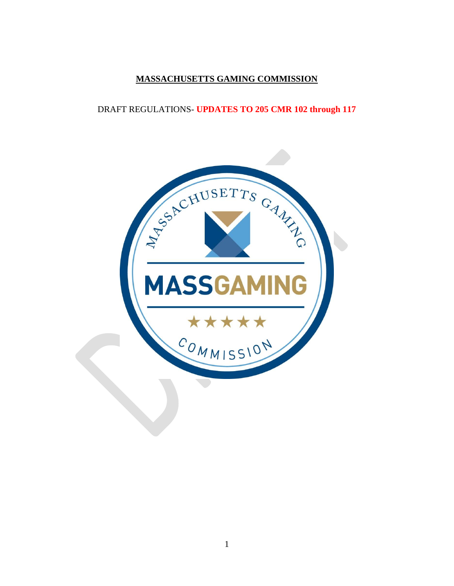# **MASSACHUSETTS GAMING COMMISSION**

# DRAFT REGULATIONS- **UPDATES TO 205 CMR 102 through 117**

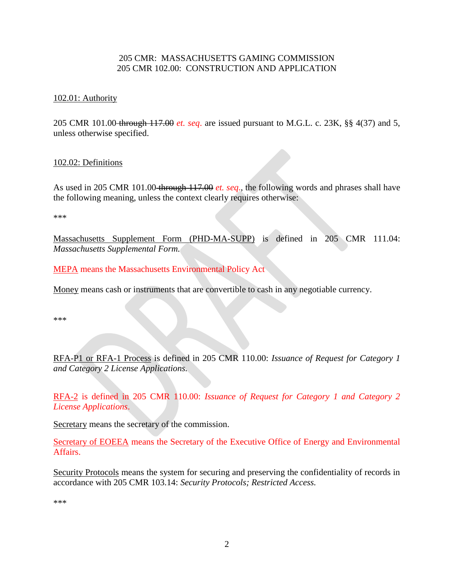## 205 CMR: MASSACHUSETTS GAMING COMMISSION 205 CMR 102.00: CONSTRUCTION AND APPLICATION

### 102.01: Authority

205 CMR 101.00 through 117.00 *et. seq*. are issued pursuant to M.G.L. c. 23K, §§ 4(37) and 5, unless otherwise specified.

#### 102.02: Definitions

As used in 205 CMR 101.00 through 117.00 *et. seq*., the following words and phrases shall have the following meaning, unless the context clearly requires otherwise:

\*\*\*

Massachusetts Supplement Form (PHD-MA-SUPP) is defined in 205 CMR 111.04: *Massachusetts Supplemental Form.*

MEPA means the Massachusetts Environmental Policy Act

Money means cash or instruments that are convertible to cash in any negotiable currency.

\*\*\*

RFA-P1 or RFA-1 Process is defined in 205 CMR 110.00: *Issuance of Request for Category 1 and Category 2 License Applications.*

RFA-2 is defined in 205 CMR 110.00: *Issuance of Request for Category 1 and Category 2 License Applications*.

Secretary means the secretary of the commission.

Secretary of EOEEA means the Secretary of the Executive Office of Energy and Environmental Affairs.

Security Protocols means the system for securing and preserving the confidentiality of records in accordance with 205 CMR 103.14: *Security Protocols; Restricted Access.*

\*\*\*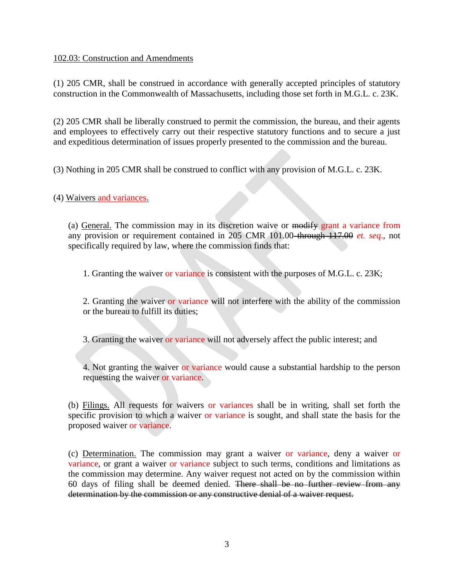### 102.03: Construction and Amendments

(1) 205 CMR, shall be construed in accordance with generally accepted principles of statutory construction in the Commonwealth of Massachusetts, including those set forth in M.G.L. c. 23K.

(2) 205 CMR shall be liberally construed to permit the commission, the bureau, and their agents and employees to effectively carry out their respective statutory functions and to secure a just and expeditious determination of issues properly presented to the commission and the bureau.

(3) Nothing in 205 CMR shall be construed to conflict with any provision of M.G.L. c. 23K.

(4) Waivers and variances.

(a) General. The commission may in its discretion waive or modify grant a variance from any provision or requirement contained in 205 CMR 101.00 through 117.00 *et. seq*., not specifically required by law, where the commission finds that:

1. Granting the waiver or variance is consistent with the purposes of M.G.L. c. 23K;

2. Granting the waiver or variance will not interfere with the ability of the commission or the bureau to fulfill its duties;

3. Granting the waiver or variance will not adversely affect the public interest; and

4. Not granting the waiver or variance would cause a substantial hardship to the person requesting the waiver or variance.

(b) Filings. All requests for waivers or variances shall be in writing, shall set forth the specific provision to which a waiver or variance is sought, and shall state the basis for the proposed waiver or variance.

(c) Determination. The commission may grant a waiver or variance, deny a waiver or variance, or grant a waiver or variance subject to such terms, conditions and limitations as the commission may determine. Any waiver request not acted on by the commission within 60 days of filing shall be deemed denied. There shall be no further review from any determination by the commission or any constructive denial of a waiver request.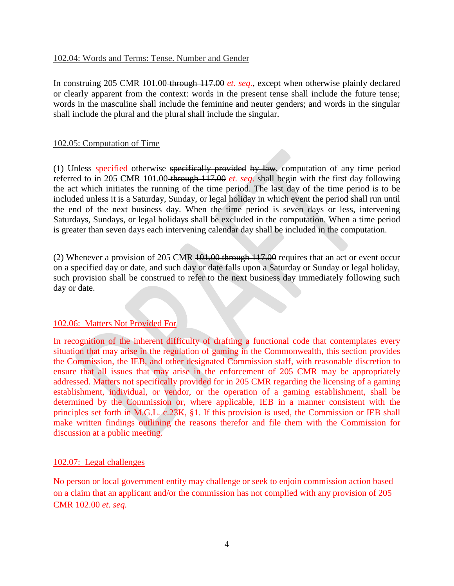#### 102.04: Words and Terms: Tense. Number and Gender

In construing 205 CMR 101.00-through 117.00 *et. seq.*, except when otherwise plainly declared or clearly apparent from the context: words in the present tense shall include the future tense; words in the masculine shall include the feminine and neuter genders; and words in the singular shall include the plural and the plural shall include the singular.

#### 102.05: Computation of Time

(1) Unless specified otherwise specifically provided by law, computation of any time period referred to in 205 CMR 101.00 through 117.00 *et. seq*. shall begin with the first day following the act which initiates the running of the time period. The last day of the time period is to be included unless it is a Saturday, Sunday, or legal holiday in which event the period shall run until the end of the next business day. When the time period is seven days or less, intervening Saturdays, Sundays, or legal holidays shall be excluded in the computation. When a time period is greater than seven days each intervening calendar day shall be included in the computation.

(2) Whenever a provision of 205 CMR 101.00 through 117.00 requires that an act or event occur on a specified day or date, and such day or date falls upon a Saturday or Sunday or legal holiday, such provision shall be construed to refer to the next business day immediately following such day or date.

### 102.06: Matters Not Provided For

In recognition of the inherent difficulty of drafting a functional code that contemplates every situation that may arise in the regulation of gaming in the Commonwealth, this section provides the Commission, the IEB, and other designated Commission staff, with reasonable discretion to ensure that all issues that may arise in the enforcement of 205 CMR may be appropriately addressed. Matters not specifically provided for in 205 CMR regarding the licensing of a gaming establishment, individual, or vendor, or the operation of a gaming establishment, shall be determined by the Commission or, where applicable, IEB in a manner consistent with the principles set forth in M.G.L. c.23K, §1. If this provision is used, the Commission or IEB shall make written findings outlining the reasons therefor and file them with the Commission for discussion at a public meeting.

### 102.07: Legal challenges

No person or local government entity may challenge or seek to enjoin commission action based on a claim that an applicant and/or the commission has not complied with any provision of 205 CMR 102.00 *et. seq.*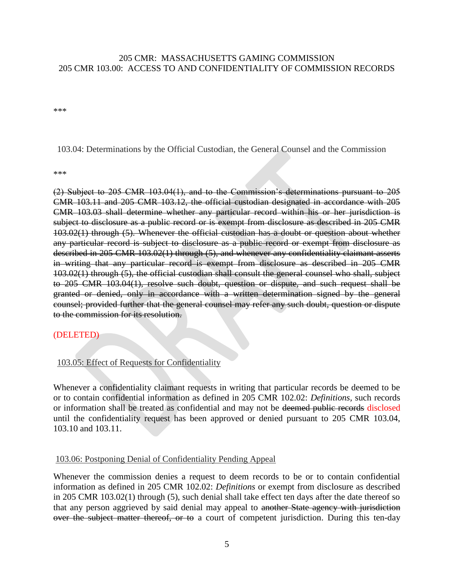## 205 CMR: MASSACHUSETTS GAMING COMMISSION 205 CMR 103.00: ACCESS TO AND CONFIDENTIALITY OF COMMISSION RECORDS

\*\*\*

103.04: Determinations by the Official Custodian, the General Counsel and the Commission

\*\*\*

(2) Subject to 205 CMR 103.04(1), and to the Commission's determinations pursuant to 205 CMR 103.11 and 205 CMR 103.12, the official custodian designated in accordance with 205 CMR 103.03 shall determine whether any particular record within his or her jurisdiction is subject to disclosure as a public record or is exempt from disclosure as described in 205 CMR 103.02(1) through (5). Whenever the official custodian has a doubt or question about whether any particular record is subject to disclosure as a public record or exempt from disclosure as described in 205 CMR 103.02(1) through (5), and whenever any confidentiality claimant asserts in writing that any particular record is exempt from disclosure as described in 205 CMR 103.02(1) through (5), the official custodian shall consult the general counsel who shall, subject to 205 CMR 103.04(1), resolve such doubt, question or dispute, and such request shall be granted or denied, only in accordance with a written determination signed by the general counsel; provided further that the general counsel may refer any such doubt, question or dispute to the commission for its resolution.

### (DELETED)

103.05: Effect of Requests for Confidentiality

Whenever a confidentiality claimant requests in writing that particular records be deemed to be or to contain confidential information as defined in 205 CMR 102.02: *Definitions,* such records or information shall be treated as confidential and may not be deemed public records disclosed until the confidentiality request has been approved or denied pursuant to 205 CMR 103.04, 103.10 and 103.11.

### 103.06: Postponing Denial of Confidentiality Pending Appeal

Whenever the commission denies a request to deem records to be or to contain confidential information as defined in 205 CMR 102.02: *Definitions* or exempt from disclosure as described in 205 CMR 103.02(1) through (5), such denial shall take effect ten days after the date thereof so that any person aggrieved by said denial may appeal to another State agency with jurisdiction over the subject matter thereof, or to a court of competent jurisdiction. During this ten-day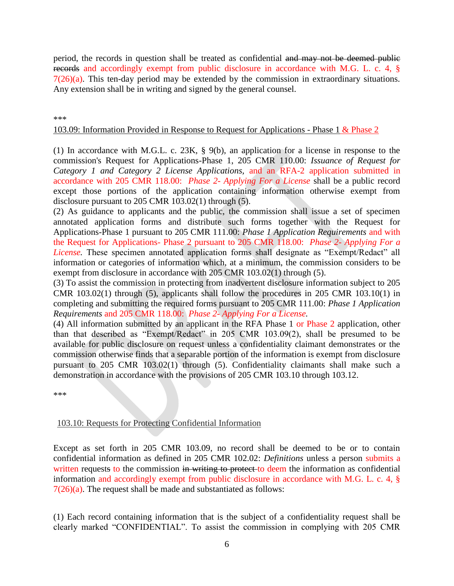period, the records in question shall be treated as confidential and may not be deemed public records and accordingly exempt from public disclosure in accordance with M.G. L. c. 4, §  $7(26)(a)$ . This ten-day period may be extended by the commission in extraordinary situations. Any extension shall be in writing and signed by the general counsel.

#### \*\*\*

#### 103.09: Information Provided in Response to Request for Applications - Phase 1 & Phase 2

(1) In accordance with M.G.L. c. 23K, § 9(b), an application for a license in response to the commission's Request for Applications-Phase 1, 205 CMR 110.00: *Issuance of Request for Category 1 and Category 2 License Applications,* and an RFA-2 application submitted in accordance with 205 CMR 118.00: *Phase 2- Applying For a License* shall be a public record except those portions of the application containing information otherwise exempt from disclosure pursuant to 205 CMR 103.02(1) through (5).

(2) As guidance to applicants and the public, the commission shall issue a set of specimen annotated application forms and distribute such forms together with the Request for Applications-Phase 1 pursuant to 205 CMR 111.00: *Phase 1 Application Requirements* and with the Request for Applications- Phase 2 pursuant to 205 CMR 118.00: *Phase 2- Applying For a License.* These specimen annotated application forms shall designate as "Exempt/Redact" all information or categories of information which, at a minimum, the commission considers to be exempt from disclosure in accordance with 205 CMR 103.02(1) through (5).

(3) To assist the commission in protecting from inadvertent disclosure information subject to 205 CMR 103.02(1) through (5), applicants shall follow the procedures in 205 CMR 103.10(1) in completing and submitting the required forms pursuant to 205 CMR 111.00: *Phase 1 Application Requirements* and 205 CMR 118.00: *Phase 2- Applying For a License.*

(4) All information submitted by an applicant in the RFA Phase 1 or Phase 2 application, other than that described as "Exempt/Redact" in 205 CMR 103.09(2), shall be presumed to be available for public disclosure on request unless a confidentiality claimant demonstrates or the commission otherwise finds that a separable portion of the information is exempt from disclosure pursuant to 205 CMR 103.02(1) through (5). Confidentiality claimants shall make such a demonstration in accordance with the provisions of 205 CMR 103.10 through 103.12.

\*\*\*

### 103.10: Requests for Protecting Confidential Information

Except as set forth in 205 CMR 103.09, no record shall be deemed to be or to contain confidential information as defined in 205 CMR 102.02: *Definitions* unless a person submits a written requests to the commission in writing to protect to deem the information as confidential information and accordingly exempt from public disclosure in accordance with M.G. L. c. 4, §  $7(26)(a)$ . The request shall be made and substantiated as follows:

(1) Each record containing information that is the subject of a confidentiality request shall be clearly marked "CONFIDENTIAL". To assist the commission in complying with 205 CMR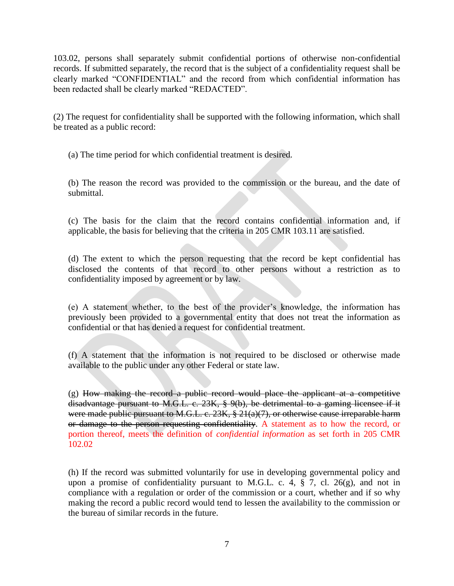103.02, persons shall separately submit confidential portions of otherwise non-confidential records. If submitted separately, the record that is the subject of a confidentiality request shall be clearly marked "CONFIDENTIAL" and the record from which confidential information has been redacted shall be clearly marked "REDACTED".

(2) The request for confidentiality shall be supported with the following information, which shall be treated as a public record:

(a) The time period for which confidential treatment is desired.

(b) The reason the record was provided to the commission or the bureau, and the date of submittal.

(c) The basis for the claim that the record contains confidential information and, if applicable, the basis for believing that the criteria in 205 CMR 103.11 are satisfied.

(d) The extent to which the person requesting that the record be kept confidential has disclosed the contents of that record to other persons without a restriction as to confidentiality imposed by agreement or by law.

(e) A statement whether, to the best of the provider's knowledge, the information has previously been provided to a governmental entity that does not treat the information as confidential or that has denied a request for confidential treatment.

(f) A statement that the information is not required to be disclosed or otherwise made available to the public under any other Federal or state law.

(g) How making the record a public record would place the applicant at a competitive disadvantage pursuant to [M.G.L. c. 23K, § 9\(b\),](http://www.westlaw.com/Link/Document/FullText?findType=L&pubNum=1000042&cite=MAST23KS9&originatingDoc=IC2B610D01DA411E281FBE8F9D9FEDCA9&refType=SP&originationContext=document&vr=3.0&rs=cblt1.0&transitionType=DocumentItem&contextData=(sc.Default)#co_pp_a83b000018c76) be detrimental to a gaming licensee if it were made public pursuant to [M.G.L. c. 23K, § 21\(a\)\(7\),](http://www.westlaw.com/Link/Document/FullText?findType=L&pubNum=1000042&cite=MAST23KS21&originatingDoc=IC2B610D01DA411E281FBE8F9D9FEDCA9&refType=SP&originationContext=document&vr=3.0&rs=cblt1.0&transitionType=DocumentItem&contextData=(sc.Default)#co_pp_36f10000408d4) or otherwise cause irreparable harm or damage to the person requesting confidentiality. A statement as to how the record, or portion thereof, meets the definition of *confidential information* as set forth in 205 CMR 102.02

(h) If the record was submitted voluntarily for use in developing governmental policy and upon a promise of confidentiality pursuant to M.G.L. c. 4,  $\S$  7, cl. 26(g), and not in compliance with a regulation or order of the commission or a court, whether and if so why making the record a public record would tend to lessen the availability to the commission or the bureau of similar records in the future.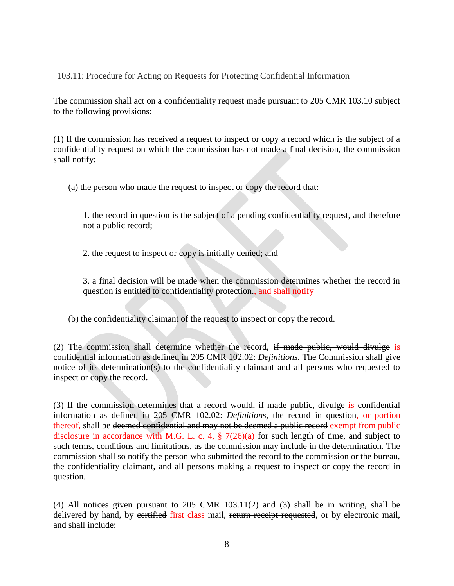## 103.11: Procedure for Acting on Requests for Protecting Confidential Information

The commission shall act on a confidentiality request made pursuant to 205 CMR 103.10 subject to the following provisions:

(1) If the commission has received a request to inspect or copy a record which is the subject of a confidentiality request on which the commission has not made a final decision, the commission shall notify:

(a) the person who made the request to inspect or copy the record that:

1. the record in question is the subject of a pending confidentiality request, and therefore not a public record;

2. the request to inspect or copy is initially denied; and

3. a final decision will be made when the commission determines whether the record in question is entitled to confidentiality protection., and shall notify

(b) the confidentiality claimant of the request to inspect or copy the record.

(2) The commission shall determine whether the record, if made public, would divulge is confidential information as defined in 205 CMR 102.02: *Definitions.* The Commission shall give notice of its determination(s) to the confidentiality claimant and all persons who requested to inspect or copy the record.

(3) If the commission determines that a record would, if made public, divulge is confidential information as defined in 205 CMR 102.02: *Definitions,* the record in question, or portion thereof, shall be deemed confidential and may not be deemed a public record exempt from public disclosure in accordance with M.G. L. c. 4,  $\S$  7(26)(a) for such length of time, and subject to such terms, conditions and limitations, as the commission may include in the determination. The commission shall so notify the person who submitted the record to the commission or the bureau, the confidentiality claimant, and all persons making a request to inspect or copy the record in question.

(4) All notices given pursuant to 205 CMR 103.11(2) and (3) shall be in writing, shall be delivered by hand, by certified first class mail, return receipt requested, or by electronic mail, and shall include: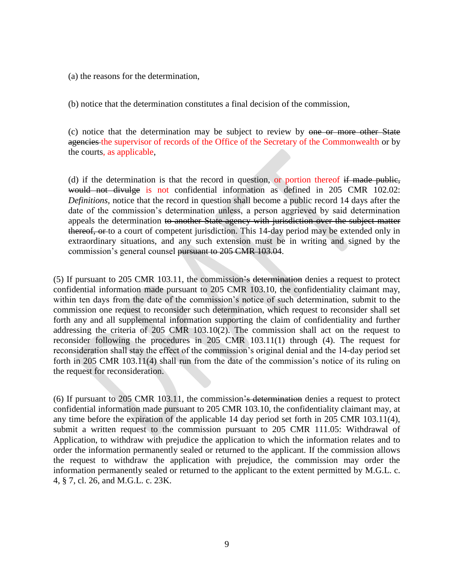(a) the reasons for the determination,

(b) notice that the determination constitutes a final decision of the commission,

(c) notice that the determination may be subject to review by one or more other State agencies the supervisor of records of the Office of the Secretary of the Commonwealth or by the courts, as applicable,

(d) if the determination is that the record in question, or portion thereof if made public, would not divulge is not confidential information as defined in 205 CMR 102.02: *Definitions,* notice that the record in question shall become a public record 14 days after the date of the commission's determination unless, a person aggrieved by said determination appeals the determination to another State agency with jurisdiction over the subject matter thereof, or to a court of competent jurisdiction. This 14-day period may be extended only in extraordinary situations, and any such extension must be in writing and signed by the commission's general counsel pursuant to 205 CMR 103.04.

(5) If pursuant to 205 CMR 103.11, the commission's determination denies a request to protect confidential information made pursuant to 205 CMR 103.10, the confidentiality claimant may, within ten days from the date of the commission's notice of such determination, submit to the commission one request to reconsider such determination, which request to reconsider shall set forth any and all supplemental information supporting the claim of confidentiality and further addressing the criteria of 205 CMR 103.10(2). The commission shall act on the request to reconsider following the procedures in 205 CMR 103.11(1) through (4). The request for reconsideration shall stay the effect of the commission's original denial and the 14-day period set forth in 205 CMR 103.11(4) shall run from the date of the commission's notice of its ruling on the request for reconsideration.

(6) If pursuant to 205 CMR 103.11, the commission's determination denies a request to protect confidential information made pursuant to 205 CMR 103.10, the confidentiality claimant may, at any time before the expiration of the applicable 14 day period set forth in 205 CMR 103.11(4), submit a written request to the commission pursuant to 205 CMR 111.05: Withdrawal of Application, to withdraw with prejudice the application to which the information relates and to order the information permanently sealed or returned to the applicant. If the commission allows the request to withdraw the application with prejudice, the commission may order the information permanently sealed or returned to the applicant to the extent permitted by [M.G.L. c.](http://www.westlaw.com/Link/Document/FullText?findType=L&pubNum=1000042&cite=MAST4S7&originatingDoc=IC30569501DA411E281FBE8F9D9FEDCA9&refType=LQ&originationContext=document&vr=3.0&rs=cblt1.0&transitionType=DocumentItem&contextData=(sc.Default))  [4, § 7,](http://www.westlaw.com/Link/Document/FullText?findType=L&pubNum=1000042&cite=MAST4S7&originatingDoc=IC30569501DA411E281FBE8F9D9FEDCA9&refType=LQ&originationContext=document&vr=3.0&rs=cblt1.0&transitionType=DocumentItem&contextData=(sc.Default)) cl. 26, and M.G.L. c. 23K.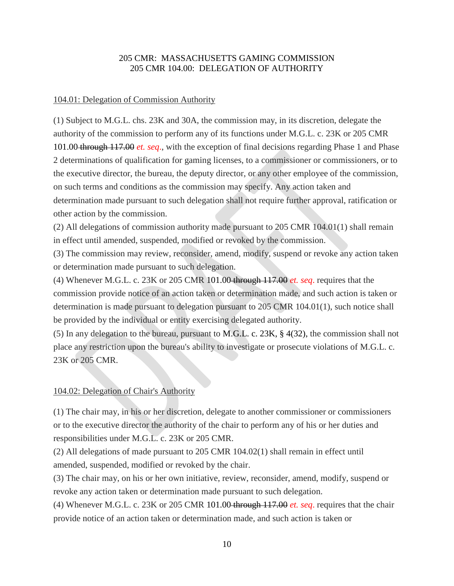## 205 CMR: MASSACHUSETTS GAMING COMMISSION 205 CMR 104.00: DELEGATION OF AUTHORITY

### 104.01: Delegation of Commission Authority

(1) Subject to M.G.L. chs. 23K and 30A, the commission may, in its discretion, delegate the authority of the commission to perform any of its functions under M.G.L. c. 23K or 205 CMR 101.00 through 117.00 *et. seq*., with the exception of final decisions regarding Phase 1 and Phase 2 determinations of qualification for gaming licenses, to a commissioner or commissioners, or to the executive director, the bureau, the deputy director, or any other employee of the commission, on such terms and conditions as the commission may specify. Any action taken and determination made pursuant to such delegation shall not require further approval, ratification or other action by the commission.

(2) All delegations of commission authority made pursuant to 205 CMR 104.01(1) shall remain in effect until amended, suspended, modified or revoked by the commission.

(3) The commission may review, reconsider, amend, modify, suspend or revoke any action taken or determination made pursuant to such delegation.

(4) Whenever M.G.L. c. 23K or 205 CMR 101.00 through 117.00 *et. seq*. requires that the commission provide notice of an action taken or determination made, and such action is taken or determination is made pursuant to delegation pursuant to 205 CMR 104.01(1), such notice shall be provided by the individual or entity exercising delegated authority.

(5) In any delegation to the bureau, pursuant to M.G.L. c. 23K, § 4(32), the commission shall not place any restriction upon the bureau's ability to investigate or prosecute violations of M.G.L. c. 23K or 205 CMR.

### 104.02: Delegation of Chair's Authority

(1) The chair may, in his or her discretion, delegate to another commissioner or commissioners or to the executive director the authority of the chair to perform any of his or her duties and responsibilities under M.G.L. c. 23K or 205 CMR.

(2) All delegations of made pursuant to 205 CMR 104.02(1) shall remain in effect until amended, suspended, modified or revoked by the chair.

(3) The chair may, on his or her own initiative, review, reconsider, amend, modify, suspend or revoke any action taken or determination made pursuant to such delegation.

(4) Whenever M.G.L. c.  $23K$  or  $205$  CMR 101.00 through  $117.00$  *et. seq.* requires that the chair provide notice of an action taken or determination made, and such action is taken or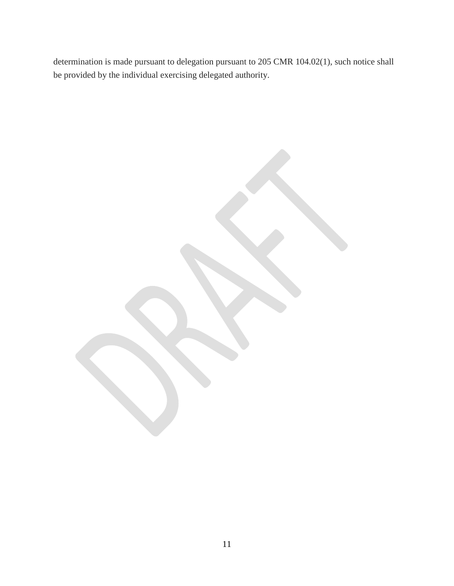determination is made pursuant to delegation pursuant to 205 CMR 104.02(1), such notice shall be provided by the individual exercising delegated authority.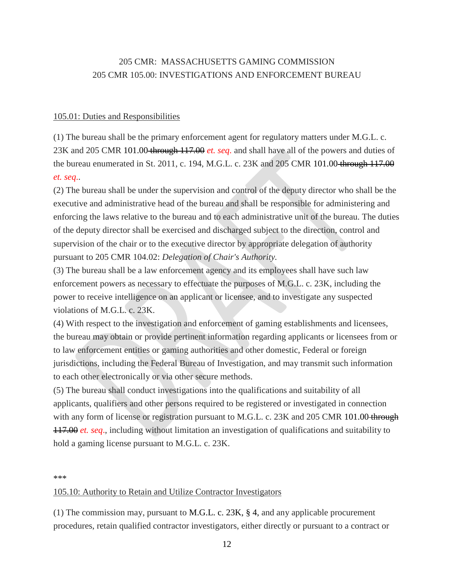# 205 CMR: MASSACHUSETTS GAMING COMMISSION 205 CMR 105.00: INVESTIGATIONS AND ENFORCEMENT BUREAU

#### 105.01: Duties and Responsibilities

(1) The bureau shall be the primary enforcement agent for regulatory matters under M.G.L. c. 23K and 205 CMR 101.00 through 117.00 *et. seq*. and shall have all of the powers and duties of the bureau enumerated in St. 2011, c. 194, M.G.L. c. 23K and 205 CMR 101.00 through 117.00 *et. seq*..

(2) The bureau shall be under the supervision and control of the deputy director who shall be the executive and administrative head of the bureau and shall be responsible for administering and enforcing the laws relative to the bureau and to each administrative unit of the bureau. The duties of the deputy director shall be exercised and discharged subject to the direction, control and supervision of the chair or to the executive director by appropriate delegation of authority pursuant to 205 CMR 104.02: *Delegation of Chair's Authority.*

(3) The bureau shall be a law enforcement agency and its employees shall have such law enforcement powers as necessary to effectuate the purposes of M.G.L. c. 23K, including the power to receive intelligence on an applicant or licensee, and to investigate any suspected violations of M.G.L. c. 23K.

(4) With respect to the investigation and enforcement of gaming establishments and licensees, the bureau may obtain or provide pertinent information regarding applicants or licensees from or to law enforcement entities or gaming authorities and other domestic, Federal or foreign jurisdictions, including the Federal Bureau of Investigation, and may transmit such information to each other electronically or via other secure methods.

(5) The bureau shall conduct investigations into the qualifications and suitability of all applicants, qualifiers and other persons required to be registered or investigated in connection with any form of license or registration pursuant to M.G.L. c. 23K and 205 CMR 101.00 through 117.00 *et. seq*., including without limitation an investigation of qualifications and suitability to hold a gaming license pursuant to M.G.L. c. 23K.

\*\*\*

#### 105.10: Authority to Retain and Utilize Contractor Investigators

(1) The commission may, pursuant to M.G.L. c. 23K, § 4, and any applicable procurement procedures, retain qualified contractor investigators, either directly or pursuant to a contract or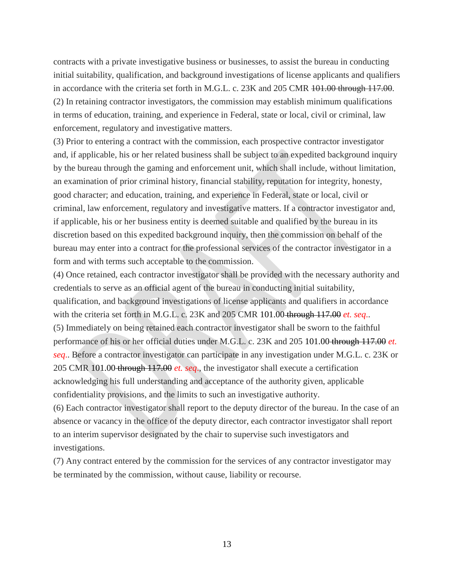contracts with a private investigative business or businesses, to assist the bureau in conducting initial suitability, qualification, and background investigations of license applicants and qualifiers in accordance with the criteria set forth in M.G.L. c. 23K and 205 CMR 101.00 through 117.00. (2) In retaining contractor investigators, the commission may establish minimum qualifications in terms of education, training, and experience in Federal, state or local, civil or criminal, law enforcement, regulatory and investigative matters.

(3) Prior to entering a contract with the commission, each prospective contractor investigator and, if applicable, his or her related business shall be subject to an expedited background inquiry by the bureau through the gaming and enforcement unit, which shall include, without limitation, an examination of prior criminal history, financial stability, reputation for integrity, honesty, good character; and education, training, and experience in Federal, state or local, civil or criminal, law enforcement, regulatory and investigative matters. If a contractor investigator and, if applicable, his or her business entity is deemed suitable and qualified by the bureau in its discretion based on this expedited background inquiry, then the commission on behalf of the bureau may enter into a contract for the professional services of the contractor investigator in a form and with terms such acceptable to the commission.

(4) Once retained, each contractor investigator shall be provided with the necessary authority and credentials to serve as an official agent of the bureau in conducting initial suitability, qualification, and background investigations of license applicants and qualifiers in accordance with the criteria set forth in M.G.L. c. 23K and 205 CMR 101.00 through 117.00 *et. seq*.. (5) Immediately on being retained each contractor investigator shall be sworn to the faithful performance of his or her official duties under M.G.L. c. 23K and 205 101.00 through 117.00 *et. seq*.. Before a contractor investigator can participate in any investigation under M.G.L. c. 23K or 205 CMR 101.00 through 117.00 *et. seq*., the investigator shall execute a certification acknowledging his full understanding and acceptance of the authority given, applicable confidentiality provisions, and the limits to such an investigative authority.

(6) Each contractor investigator shall report to the deputy director of the bureau. In the case of an absence or vacancy in the office of the deputy director, each contractor investigator shall report to an interim supervisor designated by the chair to supervise such investigators and investigations.

(7) Any contract entered by the commission for the services of any contractor investigator may be terminated by the commission, without cause, liability or recourse.

13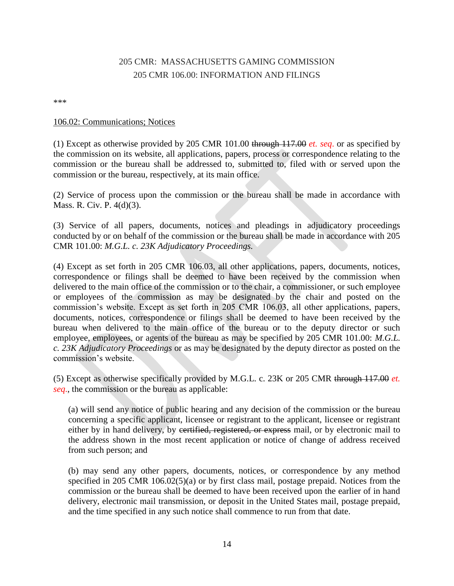# [205 CMR: MASSACHUSETTS GAMING COMMISSION](http://www.westlaw.com/Browse/Home/Regulations/MassachusettsRegulations?guid=IC6E478401DA411E281FBE8F9D9FEDCA9&transitionType=DocumentItem&contextData=(sc.Default)&rs=clbt1.0&vr=3.0) [205 CMR 106.00: INFORMATION AND FILINGS](http://www.westlaw.com/Browse/Home/Regulations/MassachusettsRegulations?guid=IC6E478401DA411E281FBE8F9D9FEDCA9&transitionType=DocumentItem&contextData=(sc.Default)&rs=clbt1.0&vr=3.0)

\*\*\*

### 106.02: Communications; Notices

(1) Except as otherwise provided by 205 CMR 101.00 through 117.00 *et. seq*. or as specified by the commission on its website, all applications, papers, process or correspondence relating to the commission or the bureau shall be addressed to, submitted to, filed with or served upon the commission or the bureau, respectively, at its main office.

(2) Service of process upon the commission or the bureau shall be made in accordance with [Mass. R. Civ. P. 4\(d\)\(3\).](http://www.westlaw.com/Link/Document/FullText?findType=L&pubNum=1005735&cite=MASTRCPR4&originatingDoc=IC73F90901DA411E281FBE8F9D9FEDCA9&refType=LQ&originationContext=document&vr=3.0&rs=cblt1.0&transitionType=DocumentItem&contextData=(sc.Default))

(3) Service of all papers, documents, notices and pleadings in adjudicatory proceedings conducted by or on behalf of the commission or the bureau shall be made in accordance with 205 CMR 101.00: *M.G.L. c. 23K Adjudicatory Proceedings.*

(4) Except as set forth in 205 CMR 106.03, all other applications, papers, documents, notices, correspondence or filings shall be deemed to have been received by the commission when delivered to the main office of the commission or to the chair, a commissioner, or such employee or employees of the commission as may be designated by the chair and posted on the commission's website. Except as set forth in 205 CMR 106.03, all other applications, papers, documents, notices, correspondence or filings shall be deemed to have been received by the bureau when delivered to the main office of the bureau or to the deputy director or such employee, employees, or agents of the bureau as may be specified by 205 CMR 101.00: *M.G.L. c. 23K Adjudicatory Proceedings* or as may be designated by the deputy director as posted on the commission's website.

(5) Except as otherwise specifically provided by M.G.L. c. 23K or 205 CMR through 117.00 *et. seq*., the commission or the bureau as applicable:

(a) will send any notice of public hearing and any decision of the commission or the bureau concerning a specific applicant, licensee or registrant to the applicant, licensee or registrant either by in hand delivery, by eertified, registered, or express mail, or by electronic mail to the address shown in the most recent application or notice of change of address received from such person; and

(b) may send any other papers, documents, notices, or correspondence by any method specified in 205 CMR 106.02(5)(a) or by first class mail, postage prepaid. Notices from the commission or the bureau shall be deemed to have been received upon the earlier of in hand delivery, electronic mail transmission, or deposit in the United States mail, postage prepaid, and the time specified in any such notice shall commence to run from that date.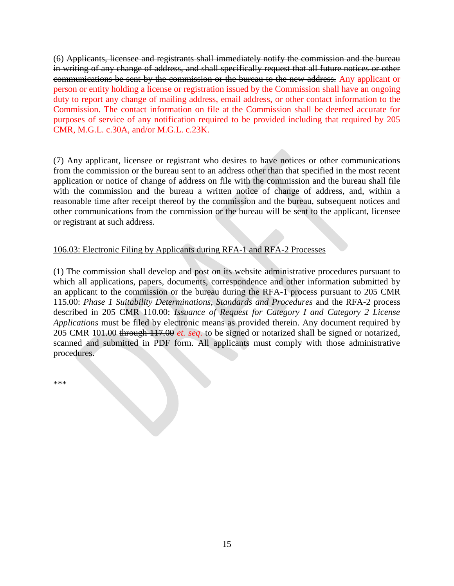(6) Applicants, licensee and registrants shall immediately notify the commission and the bureau in writing of any change of address, and shall specifically request that all future notices or other communications be sent by the commission or the bureau to the new address. Any applicant or person or entity holding a license or registration issued by the Commission shall have an ongoing duty to report any change of mailing address, email address, or other contact information to the Commission. The contact information on file at the Commission shall be deemed accurate for purposes of service of any notification required to be provided including that required by 205 CMR, M.G.L. c.30A, and/or M.G.L. c.23K.

(7) Any applicant, licensee or registrant who desires to have notices or other communications from the commission or the bureau sent to an address other than that specified in the most recent application or notice of change of address on file with the commission and the bureau shall file with the commission and the bureau a written notice of change of address, and, within a reasonable time after receipt thereof by the commission and the bureau, subsequent notices and other communications from the commission or the bureau will be sent to the applicant, licensee or registrant at such address.

## 106.03: Electronic Filing by Applicants during RFA-1 and RFA-2 Processes

(1) The commission shall develop and post on its website administrative procedures pursuant to which all applications, papers, documents, correspondence and other information submitted by an applicant to the commission or the bureau during the RFA-1 process pursuant to 205 CMR 115.00: *Phase 1 Suitability Determinations, Standards and Procedures* and the RFA-2 process described in 205 CMR 110.00: *Issuance of Request for Category I and Category 2 License Applications* must be filed by electronic means as provided therein. Any document required by 205 CMR 101.00 through 117.00 *et. seq*. to be signed or notarized shall be signed or notarized, scanned and submitted in PDF form. All applicants must comply with those administrative procedures.

\*\*\*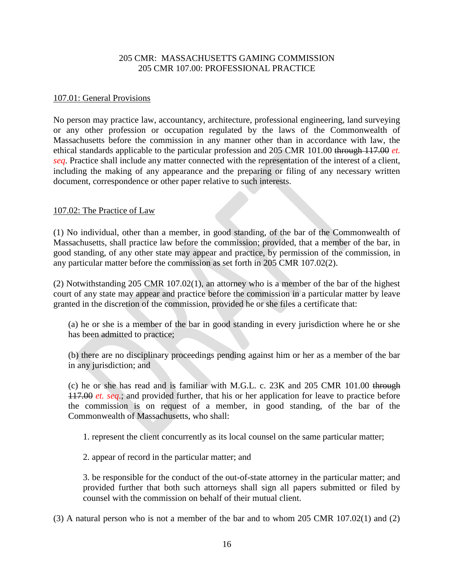## 205 CMR: MASSACHUSETTS GAMING COMMISSION 205 CMR 107.00: PROFESSIONAL PRACTICE

#### 107.01: General Provisions

No person may practice law, accountancy, architecture, professional engineering, land surveying or any other profession or occupation regulated by the laws of the Commonwealth of Massachusetts before the commission in any manner other than in accordance with law, the ethical standards applicable to the particular profession and 205 CMR 101.00 through 117.00 *et. seq*. Practice shall include any matter connected with the representation of the interest of a client, including the making of any appearance and the preparing or filing of any necessary written document, correspondence or other paper relative to such interests.

#### 107.02: The Practice of Law

(1) No individual, other than a member, in good standing, of the bar of the Commonwealth of Massachusetts, shall practice law before the commission; provided, that a member of the bar, in good standing, of any other state may appear and practice, by permission of the commission, in any particular matter before the commission as set forth in 205 CMR 107.02(2).

(2) Notwithstanding 205 CMR 107.02(1), an attorney who is a member of the bar of the highest court of any state may appear and practice before the commission in a particular matter by leave granted in the discretion of the commission, provided he or she files a certificate that:

(a) he or she is a member of the bar in good standing in every jurisdiction where he or she has been admitted to practice;

(b) there are no disciplinary proceedings pending against him or her as a member of the bar in any jurisdiction; and

(c) he or she has read and is familiar with M.G.L. c. 23K and 205 CMR 101.00 through 117.00 *et. seq*.; and provided further, that his or her application for leave to practice before the commission is on request of a member, in good standing, of the bar of the Commonwealth of Massachusetts, who shall:

1. represent the client concurrently as its local counsel on the same particular matter;

2. appear of record in the particular matter; and

3. be responsible for the conduct of the out-of-state attorney in the particular matter; and provided further that both such attorneys shall sign all papers submitted or filed by counsel with the commission on behalf of their mutual client.

(3) A natural person who is not a member of the bar and to whom 205 CMR 107.02(1) and (2)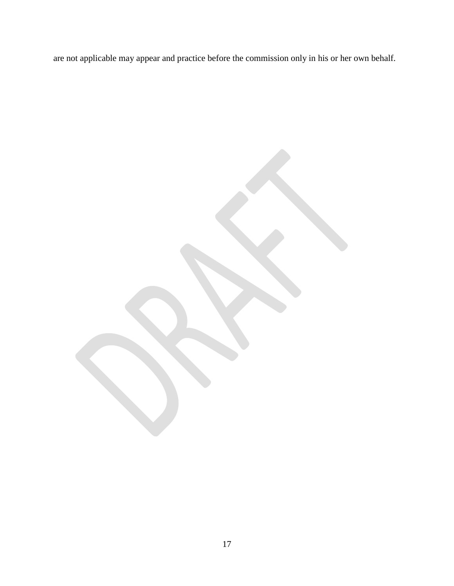are not applicable may appear and practice before the commission only in his or her own behalf.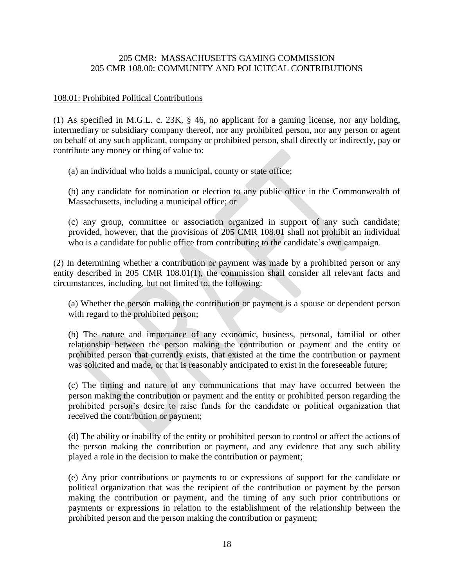## 205 CMR: MASSACHUSETTS GAMING COMMISSION 205 CMR 108.00: COMMUNITY AND POLICITCAL CONTRIBUTIONS

### 108.01: Prohibited Political Contributions

(1) As specified in [M.G.L. c. 23K, § 46,](http://www.westlaw.com/Link/Document/FullText?findType=L&pubNum=1000042&cite=MAST23KS46&originatingDoc=IC9AE46A01DA411E281FBE8F9D9FEDCA9&refType=LQ&originationContext=document&vr=3.0&rs=cblt1.0&transitionType=DocumentItem&contextData=(sc.Default)) no applicant for a gaming license, nor any holding, intermediary or subsidiary company thereof, nor any prohibited person, nor any person or agent on behalf of any such applicant, company or prohibited person, shall directly or indirectly, pay or contribute any money or thing of value to:

(a) an individual who holds a municipal, county or state office;

(b) any candidate for nomination or election to any public office in the Commonwealth of Massachusetts, including a municipal office; or

(c) any group, committee or association organized in support of any such candidate; provided, however, that the provisions of 205 CMR 108.01 shall not prohibit an individual who is a candidate for public office from contributing to the candidate's own campaign.

(2) In determining whether a contribution or payment was made by a prohibited person or any entity described in 205 CMR 108.01(1), the commission shall consider all relevant facts and circumstances, including, but not limited to, the following:

(a) Whether the person making the contribution or payment is a spouse or dependent person with regard to the prohibited person;

(b) The nature and importance of any economic, business, personal, familial or other relationship between the person making the contribution or payment and the entity or prohibited person that currently exists, that existed at the time the contribution or payment was solicited and made, or that is reasonably anticipated to exist in the foreseeable future;

(c) The timing and nature of any communications that may have occurred between the person making the contribution or payment and the entity or prohibited person regarding the prohibited person's desire to raise funds for the candidate or political organization that received the contribution or payment;

(d) The ability or inability of the entity or prohibited person to control or affect the actions of the person making the contribution or payment, and any evidence that any such ability played a role in the decision to make the contribution or payment;

(e) Any prior contributions or payments to or expressions of support for the candidate or political organization that was the recipient of the contribution or payment by the person making the contribution or payment, and the timing of any such prior contributions or payments or expressions in relation to the establishment of the relationship between the prohibited person and the person making the contribution or payment;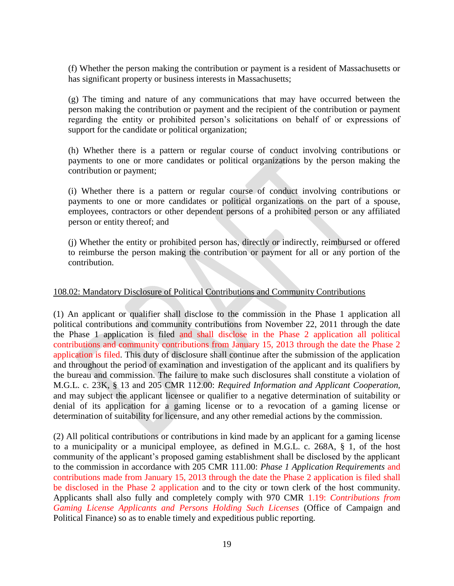(f) Whether the person making the contribution or payment is a resident of Massachusetts or has significant property or business interests in Massachusetts;

(g) The timing and nature of any communications that may have occurred between the person making the contribution or payment and the recipient of the contribution or payment regarding the entity or prohibited person's solicitations on behalf of or expressions of support for the candidate or political organization;

(h) Whether there is a pattern or regular course of conduct involving contributions or payments to one or more candidates or political organizations by the person making the contribution or payment;

(i) Whether there is a pattern or regular course of conduct involving contributions or payments to one or more candidates or political organizations on the part of a spouse, employees, contractors or other dependent persons of a prohibited person or any affiliated person or entity thereof; and

(j) Whether the entity or prohibited person has, directly or indirectly, reimbursed or offered to reimburse the person making the contribution or payment for all or any portion of the contribution.

#### 108.02: Mandatory Disclosure of Political Contributions and Community Contributions

(1) An applicant or qualifier shall disclose to the commission in the Phase 1 application all political contributions and community contributions from November 22, 2011 through the date the Phase 1 application is filed and shall disclose in the Phase 2 application all political contributions and community contributions from January 15, 2013 through the date the Phase 2 application is filed. This duty of disclosure shall continue after the submission of the application and throughout the period of examination and investigation of the applicant and its qualifiers by the bureau and commission. The failure to make such disclosures shall constitute a violation of [M.G.L. c. 23K, § 13](http://www.westlaw.com/Link/Document/FullText?findType=L&pubNum=1000042&cite=MAST23KS13&originatingDoc=IC9EE0EC21DA411E281FBE8F9D9FEDCA9&refType=LQ&originationContext=document&vr=3.0&rs=cblt1.0&transitionType=DocumentItem&contextData=(sc.Default)) and 205 CMR 112.00: *Required Information and Applicant Cooperation,* and may subject the applicant licensee or qualifier to a negative determination of suitability or denial of its application for a gaming license or to a revocation of a gaming license or determination of suitability for licensure, and any other remedial actions by the commission.

(2) All political contributions or contributions in kind made by an applicant for a gaming license to a municipality or a municipal employee, as defined in [M.G.L. c. 268A, § 1,](http://www.westlaw.com/Link/Document/FullText?findType=L&pubNum=1000042&cite=MAST268AS1&originatingDoc=IC9EE0EC21DA411E281FBE8F9D9FEDCA9&refType=LQ&originationContext=document&vr=3.0&rs=cblt1.0&transitionType=DocumentItem&contextData=(sc.Default)) of the host community of the applicant's proposed gaming establishment shall be disclosed by the applicant to the commission in accordance with 205 CMR 111.00: *Phase 1 Application Requirements* and contributions made from January 15, 2013 through the date the Phase 2 application is filed shall be disclosed in the Phase 2 application and to the city or town clerk of the host community. Applicants shall also fully and completely comply with 970 CMR 1.19: *Contributions from Gaming License Applicants and Persons Holding Such Licenses* (Office of Campaign and Political Finance) so as to enable timely and expeditious public reporting.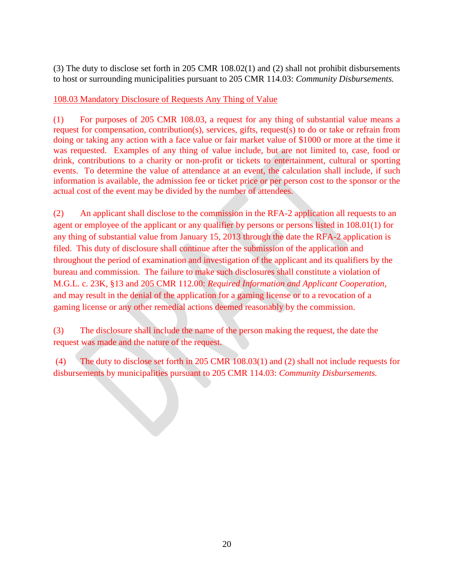(3) The duty to disclose set forth in 205 CMR 108.02(1) and (2) shall not prohibit disbursements to host or surrounding municipalities pursuant to 205 CMR 114.03: *Community Disbursements.*

108.03 Mandatory Disclosure of Requests Any Thing of Value

(1) For purposes of 205 CMR 108.03, a request for any thing of substantial value means a request for compensation, contribution(s), services, gifts, request(s) to do or take or refrain from doing or taking any action with a face value or fair market value of \$1000 or more at the time it was requested. Examples of any thing of value include, but are not limited to, case, food or drink, contributions to a charity or non-profit or tickets to entertainment, cultural or sporting events. To determine the value of attendance at an event, the calculation shall include, if such information is available, the admission fee or ticket price or per person cost to the sponsor or the actual cost of the event may be divided by the number of attendees.

(2) An applicant shall disclose to the commission in the RFA-2 application all requests to an agent or employee of the applicant or any qualifier by persons or persons listed in 108.01(1) for any thing of substantial value from January 15, 2013 through the date the RFA-2 application is filed. This duty of disclosure shall continue after the submission of the application and throughout the period of examination and investigation of the applicant and its qualifiers by the bureau and commission. The failure to make such disclosures shall constitute a violation of M.G.L. c. 23K, §13 and 205 CMR 112.00: *Required Information and Applicant Cooperation,*  and may result in the denial of the application for a gaming license or to a revocation of a gaming license or any other remedial actions deemed reasonably by the commission.

(3) The disclosure shall include the name of the person making the request, the date the request was made and the nature of the request.

(4) The duty to disclose set forth in 205 CMR 108.03(1) and (2) shall not include requests for disbursements by municipalities pursuant to 205 CMR 114.03: *Community Disbursements.*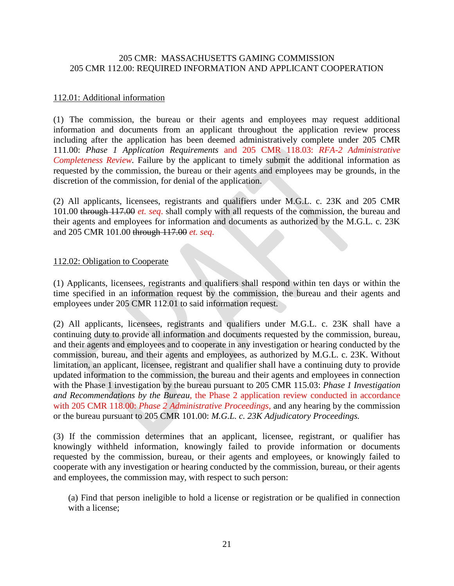### 205 CMR: MASSACHUSETTS GAMING COMMISSION 205 CMR 112.00: REQUIRED INFORMATION AND APPLICANT COOPERATION

### 112.01: Additional information

(1) The commission, the bureau or their agents and employees may request additional information and documents from an applicant throughout the application review process including after the application has been deemed administratively complete under 205 CMR 111.00: *Phase 1 Application Requirements* and 205 CMR 118.03: *RFA-2 Administrative Completeness Review.* Failure by the applicant to timely submit the additional information as requested by the commission, the bureau or their agents and employees may be grounds, in the discretion of the commission, for denial of the application.

(2) All applicants, licensees, registrants and qualifiers under M.G.L. c. 23K and 205 CMR 101.00 through 117.00 *et. seq*. shall comply with all requests of the commission, the bureau and their agents and employees for information and documents as authorized by the M.G.L. c. 23K and 205 CMR 101.00 through 117.00 *et. seq*.

### 112.02: Obligation to Cooperate

(1) Applicants, licensees, registrants and qualifiers shall respond within ten days or within the time specified in an information request by the commission, the bureau and their agents and employees under 205 CMR 112.01 to said information request.

(2) All applicants, licensees, registrants and qualifiers under M.G.L. c. 23K shall have a continuing duty to provide all information and documents requested by the commission, bureau, and their agents and employees and to cooperate in any investigation or hearing conducted by the commission, bureau, and their agents and employees, as authorized by M.G.L. c. 23K. Without limitation, an applicant, licensee, registrant and qualifier shall have a continuing duty to provide updated information to the commission, the bureau and their agents and employees in connection with the Phase 1 investigation by the bureau pursuant to 205 CMR 115.03: *Phase 1 Investigation and Recommendations by the Bureau*, the Phase 2 application review conducted in accordance with 205 CMR 118.00: *Phase 2 Administrative Proceedings*, and any hearing by the commission or the bureau pursuant to 205 CMR 101.00: *M.G.L. c. 23K Adjudicatory Proceedings.*

(3) If the commission determines that an applicant, licensee, registrant, or qualifier has knowingly withheld information, knowingly failed to provide information or documents requested by the commission, bureau, or their agents and employees, or knowingly failed to cooperate with any investigation or hearing conducted by the commission, bureau, or their agents and employees, the commission may, with respect to such person:

(a) Find that person ineligible to hold a license or registration or be qualified in connection with a license;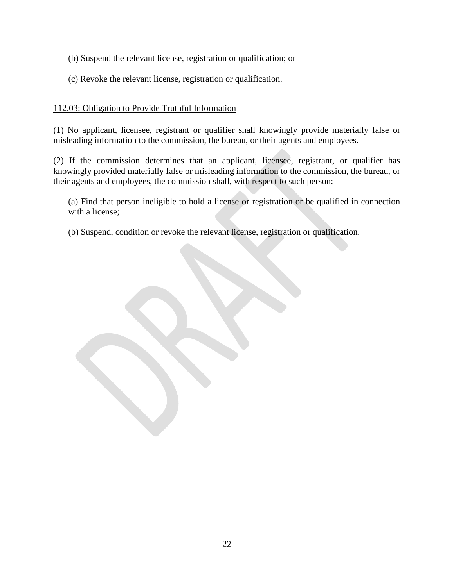- (b) Suspend the relevant license, registration or qualification; or
- (c) Revoke the relevant license, registration or qualification.

## 112.03: Obligation to Provide Truthful Information

(1) No applicant, licensee, registrant or qualifier shall knowingly provide materially false or misleading information to the commission, the bureau, or their agents and employees.

(2) If the commission determines that an applicant, licensee, registrant, or qualifier has knowingly provided materially false or misleading information to the commission, the bureau, or their agents and employees, the commission shall, with respect to such person:

(a) Find that person ineligible to hold a license or registration or be qualified in connection with a license;

(b) Suspend, condition or revoke the relevant license, registration or qualification.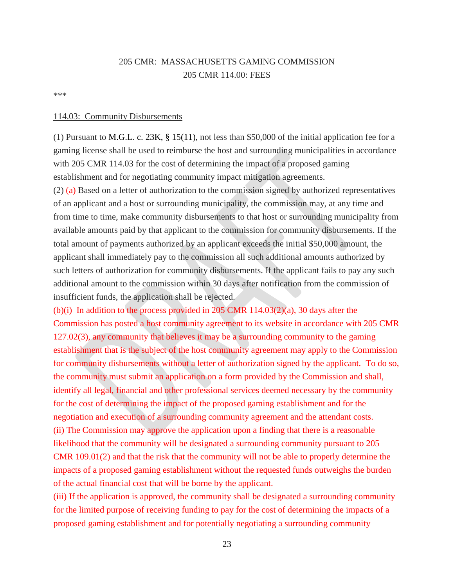# 205 CMR: MASSACHUSETTS GAMING COMMISSION 205 CMR 114.00: FEES

\*\*\*

#### 114.03: Community Disbursements

(1) Pursuant to M.G.L. c. 23K, § 15(11), not less than \$50,000 of the initial application fee for a gaming license shall be used to reimburse the host and surrounding municipalities in accordance with 205 CMR 114.03 for the cost of determining the impact of a proposed gaming establishment and for negotiating community impact mitigation agreements.

(2) (a) Based on a letter of authorization to the commission signed by authorized representatives of an applicant and a host or surrounding municipality, the commission may, at any time and from time to time, make community disbursements to that host or surrounding municipality from available amounts paid by that applicant to the commission for community disbursements. If the total amount of payments authorized by an applicant exceeds the initial \$50,000 amount, the applicant shall immediately pay to the commission all such additional amounts authorized by such letters of authorization for community disbursements. If the applicant fails to pay any such additional amount to the commission within 30 days after notification from the commission of insufficient funds, the application shall be rejected.

(b)(i) In addition to the process provided in 205 CMR  $114.03(2)(a)$ , 30 days after the Commission has posted a host community agreement to its website in accordance with 205 CMR 127.02(3), any community that believes it may be a surrounding community to the gaming establishment that is the subject of the host community agreement may apply to the Commission for community disbursements without a letter of authorization signed by the applicant. To do so, the community must submit an application on a form provided by the Commission and shall, identify all legal, financial and other professional services deemed necessary by the community for the cost of determining the impact of the proposed gaming establishment and for the negotiation and execution of a surrounding community agreement and the attendant costs. (ii) The Commission may approve the application upon a finding that there is a reasonable likelihood that the community will be designated a surrounding community pursuant to 205 CMR 109.01(2) and that the risk that the community will not be able to properly determine the impacts of a proposed gaming establishment without the requested funds outweighs the burden of the actual financial cost that will be borne by the applicant.

(iii) If the application is approved, the community shall be designated a surrounding community for the limited purpose of receiving funding to pay for the cost of determining the impacts of a proposed gaming establishment and for potentially negotiating a surrounding community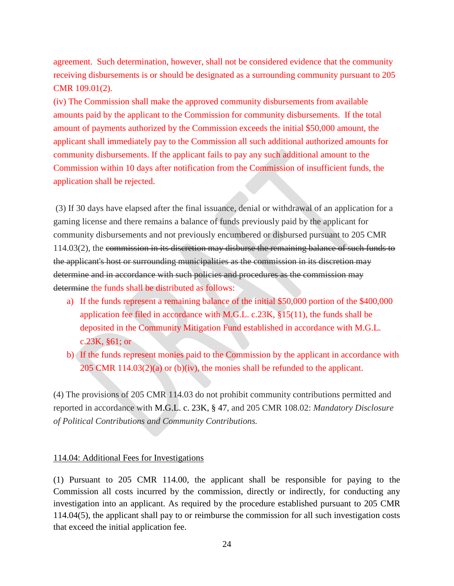agreement. Such determination, however, shall not be considered evidence that the community receiving disbursements is or should be designated as a surrounding community pursuant to 205 CMR 109.01(2).

(iv) The Commission shall make the approved community disbursements from available amounts paid by the applicant to the Commission for community disbursements. If the total amount of payments authorized by the Commission exceeds the initial \$50,000 amount, the applicant shall immediately pay to the Commission all such additional authorized amounts for community disbursements. If the applicant fails to pay any such additional amount to the Commission within 10 days after notification from the Commission of insufficient funds, the application shall be rejected.

(3) If 30 days have elapsed after the final issuance, denial or withdrawal of an application for a gaming license and there remains a balance of funds previously paid by the applicant for community disbursements and not previously encumbered or disbursed pursuant to 205 CMR 114.03(2), the commission in its discretion may disburse the remaining balance of such funds to the applicant's host or surrounding municipalities as the commission in its discretion may determine and in accordance with such policies and procedures as the commission may determine the funds shall be distributed as follows:

- a) If the funds represent a remaining balance of the initial \$50,000 portion of the \$400,000 application fee filed in accordance with M.G.L. c.23K, §15(11), the funds shall be deposited in the Community Mitigation Fund established in accordance with M.G.L. c.23K, §61; or
- b) If the funds represent monies paid to the Commission by the applicant in accordance with 205 CMR 114.03(2)(a) or (b)(iv), the monies shall be refunded to the applicant.

(4) The provisions of 205 CMR 114.03 do not prohibit community contributions permitted and reported in accordance with M.G.L. c. 23K, § 47, and 205 CMR 108.02: *Mandatory Disclosure of Political Contributions and Community Contributions.*

#### 114.04: Additional Fees for Investigations

(1) Pursuant to 205 CMR 114.00, the applicant shall be responsible for paying to the Commission all costs incurred by the commission, directly or indirectly, for conducting any investigation into an applicant. As required by the procedure established pursuant to 205 CMR 114.04(5), the applicant shall pay to or reimburse the commission for all such investigation costs that exceed the initial application fee.